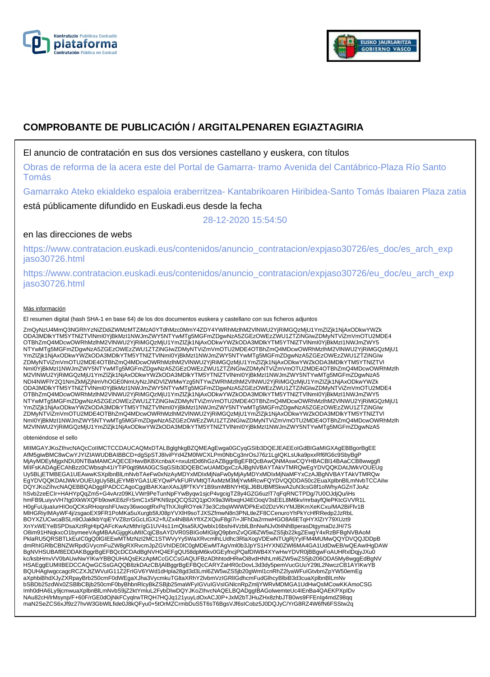



# **COMPROBANTE DE PUBLICACIÓN / ARGITALPENAREN EGIAZTAGIRIA**

### El anuncio de contratación en sus dos versiones castellano y euskera, con títulos

Obras de reforma de la acera este del Portal de Gamarra- tramo Avenida del Cantábrico-Plaza Río Santo Tomás

Gamarrako Ateko ekialdeko espaloia eraberritzea- Kantabrikoaren Hiribidea-Santo Tomás Ibaiaren Plaza zatia

está públicamente difundido en Euskadi.eus desde la fecha

28-12-2020 15:54:50

## en las direcciones de webs

https://www.contratacion.euskadi.eus/contenidos/anuncio\_contratacion/expjaso30726/es\_doc/es\_arch\_exp jaso30726.html

https://www.contratacion.euskadi.eus/contenidos/anuncio\_contratacion/expjaso30726/eu\_doc/eu\_arch\_exp jaso30726.html

#### Más información

El resumen digital (hash SHA-1 en base 64) de los dos documentos euskera y castellano con sus ficheros adjuntos

ZmQyNzU4MmQ3NGRhYzNiZDdiZWMzMTZiMzA0YTdhMzc0MmY4ZDY4YWRhMzlhM2VlNWU2YjRiMGQzMjU1YmZlZjk1NjAxODkwYWZk ODA3MDlkYTM5YTNlZTVlNmI0YjBkMzI1NWJmZWY5NTYwMTg5MGFmZDgwNzA5ZGEzOWEzZWU1ZTZiNGIwZDMyNTViZmVmOTU2MDE4 OTBhZmQ4MDcwOWRhMzlhM2VlNWU2YjRiMGQzMjU1YmZlZjk1NjAxODkwYWZkODA3MDlkYTM5YTNlZTVlNmI0YjBkMzI1NWJmZWY5 NTYwMTg5MGFmZDgwNzA5ZGEzOWEzZWU1ZTZiNGIwZDMyNTViZmVmOTU2MDE4OTBhZmQ4MDcwOWRhMzlhM2VlNWU2YjRiMGQzMjU1 YmZlZjk1NjAxODkwYWZkODA3MDlkYTM5YTNlZTVlNmI0YjBkMzI1NWJmZWY5NTYwMTg5MGFmZDgwNzA5ZGEzOWEzZWU1ZTZiNGIw ZDMyNTViZmVmOTU2MDE4OTBhZmQ4MDcwOWRhMzlhM2VINWU2YjRiMGQzMjU1YmZlZjk1NjAxODkwYWZkODA3MDIkYTM5YTNIZTVI<br>NmI0YjBkMzI1NWJmZWY5NTYwMTg5MGFmZDgwNzA5ZGEzOWEzZWU1ZTZiNGIwZDMyNTViZmVmOTU2MDE4OTBhZmQ4MDcwOWRhMzlh M2VlNWU2YjRiMGQzMjU1YmZlZjk1NjAxODkwYWZkODA3MDlkYTM5YTNlZTVlNmI0YjBkMzI1NWJmZWY5NTYwMTg5MGFmZDgwNzA5 NDI4NWFlY2Q1NmZkMjZjNmVhOGE0NmUyNzJiNDVlZWMwYzg5NTYwZWRhMzlhM2VlNWU2YjRiMGQzMjU1YmZlZjk1NjAxODkwYWZk ODA3MDlkYTM5YTNlZTVlNmI0YjBkMzI1NWJmZWY5NTYwMTg5MGFmZDgwNzA5ZGEzOWEzZWU1ZTZiNGIwZDMyNTViZmVmOTU2MDE4 OTBhZmQ4MDcwOWRhMzlhM2VlNWU2YjRiMGQzMjU1YmZlZjk1NjAxODkwYWZkODA3MDlkYTM5YTNlZTVlNmI0YjBkMzI1NWJmZWY5 NTYwMTg5MGFmZDgwNzA5ZGEzOWEzZWU1ZTZiNGIwZDMyNTViZmVmOTU2MDE4OTBhZmQ4MDcwOWRhMzlhM2VlNWU2YjRiMGQzMjU1 YmZlZjk1NjAxODkwYWZkODA3MDlkYTM5YTNlZTVlNmI0YjBkMzI1NWJmZWY5NTYwMTg5MGFmZDgwNzA5ZGEzOWEzZWU1ZTZiNGIw ZDMyNTViZmVmOTU2MDE4OTBhZmQ4MDcwOWRhMzlhM2VINWU2YjRiMGQzMjU1YmZlZjk1NjAxODkwYWZkODA3MDIkYTM5YTNIZTVI<br>NmI0YjBkMzI1NWJmZWY5NTYwMTg5MGFmZDgwNzA5ZGEzOWEzZWU1ZTZiNGIwZDMyNTViZmVmOTU2MDE4OTBhZmQ4MDcwOWRhMzlh M2VlNWU2YjRiMGQzMjU1YmZlZjk1NjAxODkwYWZkODA3MDlkYTM5YTNlZTVlNmI0YjBkMzI1NWJmZWY5NTYwMTg5MGFmZDgwNzA5

#### obteniéndose el sello

MIIMGAYJKoZIhvcNAQcCoIIMCTCCDAUCAQMxDTALBgIghkgBZQMEAgEwga0GCyqGSIb3DQEJEAEEoIGdBIGaMIGXAgEBBgorBgEE<br>AfM5giwBMC8wCwYJYIZIAWUDBAIBBCD+dgSpSTJ8IviPYd4ZM0IWCXLPm0NbCg3nrOsJ76z1LgIQKLsUka9pxxRf6fG6c9SbyBgP MjAyMDEyMjgxNDU0NTBaMAMCAQECEHwvBKBXcnbaX+nxulztDd6hGzAZBggrBgEFBQcBAwQNMAswCQYHBACBI14BAaCCB8wwggfI<br>MIIFsKADAgECAhBzz0CWbsqh41iYTiP0qjt9MA0GCSqGSIb3DQEBCwUAMDgxCzAJBgNVBAYTAkVTMRQwEgYDVQQKDAtJWkVOUEUg Uy5BLjETMBEGA1UEAwwKSXplbnBlLmNvbTAeFw0xNzAyMDYxMDIxMjNaFw0yMjAyMDYxMDIxMjNaMFYxCzAJBgNVBAYTAkVTMRQw EgYDVQQKDAtJWkVOUEUgUy5BLjEYMBYGA1UEYQwPVkFURVMtQTAxMzM3MjYwMRcwFQYDVQQDDA50c2EuaXplbnBlLmNvbTCCAiIw DQYJKoZIhvcNAQEBBQADggIPADCCAgoCggIBAKXanXAsJjfPTKVY1B9smMBNYH0jLJ6BUBMfSkwA2uN3csG8f1olWhyAGZnTJoAz hSvb2zeECIr+HAHYpQqZm5+G4vArz09KLVWr9PeTunNpFYwByqw1sjcP4vgcigTZ8y4GZG6uzlT7qFqRNCTPDg/7U0OJdjQu/iHs hmFB9LuiyvVH7tg0XkWXQFb9owKE6zFrSmC1x5PKN9zpQCQS2Q1jpOX9a3WbxqHJ4EOoqV3sEEL8M6kv/mrbayfQlePKtcGVVR1L<br>H0gFuUjuaIurHIOoQCKsRHoqnshFUwzy36woogtRxPqThXJIqROYek73e3CzbqWWWDPkEx02DzVKrYMJBKmXeKCxu/MA2BiFfv1B MlHGRiyIMAyWF4j/zsgaoEX9FR1PoMKa5uXurgb5lU08pYVXlH9soTJXSZfmwN8n3PNLtleZF8CCenuroYhPkYcHfRRedp2JzRbL BOYXZUCwcaBSLn9OJaklkbYqiEYVZ8zrGGcLtGX2+fUZx4hiB8AYfIXZXQiuF8gI7i+JlFhDa2rmwHGO8A6ETqHYXlZrY79XUzt9 XnYxWEYeBSPDsaXztRgHIpQAFcKwAzMthr/gG1UV4s11mQlsa5lUQwblx16bshi4VzblLBnNwNJv0t4NhBperasDtgymaDzJH/7S O8im91HNqkxcO1bymeeVAgMBAAGjggKuMIICqjCBsAYDVR0SBIGoMIGlgQ9pbmZvQGl6ZW5wZS5jb22kgZEwgY4xRzBFBgNVBAoM PklaRU5QRSBTLkEuIC0gQ0lGIEEwMTMzNzI2MC1STWVyYy5WaXRvcmlhLUdhc3RlaXogVDEwNTUgRjYyIFM4MUMwQQYDVQQJDDpB dmRhIGRlbCBNZWRpdGVycmFuZW8gRXRvcmJpZGVhIDE0IC0gMDEwMTAgVml0b3JpYS1HYXN0ZWl6MA4GA1UdDwEB/wQEAwIHgDAW BgNVHSUBAf8EDDAKBggrBgEFBQcDCDAdBgNVHQ4EFgQU58dpM6kv0GEyfncjPQafDIWB4XYwHwYDVR0jBBgwFoAUHRxlDqjyJXu0<br>kc/ksbHmvVV0bAUwNwYIKwYBBQUHAQsEKzApMCcGCCsGAQUFBzADhhtodHRwOi8vdHNhLml6ZW5wZS5jb206ODA5My8wggEdBgNV HSAEggEUMIIBEDCCAQwGCSsGAQQB8zkDAzCB/jAlBggrBgEFBQcCARYZaHR0cDovL3d3dy5pemVucGUuY29tL2NwczCB1AYIKwYB<br>BQUHAgIwgccagcRCZXJtZWVuIG11Z2FrIGV6YWd1dHpla28gd3d3Lml6ZW5wZS5jb20gWml1cnRhZ2lyaWFuIGtvbmZpYW50emEg aXphbiBhdXJyZXRpayBrb250cmF0dWEgaXJha3VycmkuTGltaXRhY2lvbmVzIGRlIGdhcmFudGlhcyBlbiB3d3cuaXplbnBlLmNv bSBDb25zdWx0ZSBlbCBjb250cmF0byBhbnRlcyBkZSBjb25maWFyIGVuIGVsIGNlcnRpZmljYWRvMDMGA1UdHwQsMCowKKAmoCSG Imh0dHA6Ly9jcmwuaXplbnBlLmNvbS9jZ2ktYmluL2FybDIwDQYJKoZIhvcNAQELBQADggIBAGolwemteUc4IEnBa4QAEKPXpIDv NAu82cH/lrMsynp/F+60F/rGE0dOjNkFCyqlrwTRQH7HQJq121yuyLdOxACJ0P+JxM2bTJHuZHx8zhbJTB0ws9FFEnIg4mdZ98qq maN2SeZCS6xJf9z27hvW3GbWlLfide0J8kQFyu0+5tOrMZCrmbDuS5T6sT6BgsVJf6sICobz5J0DQJyC/YrG8RZ4W6fN6FSStw2q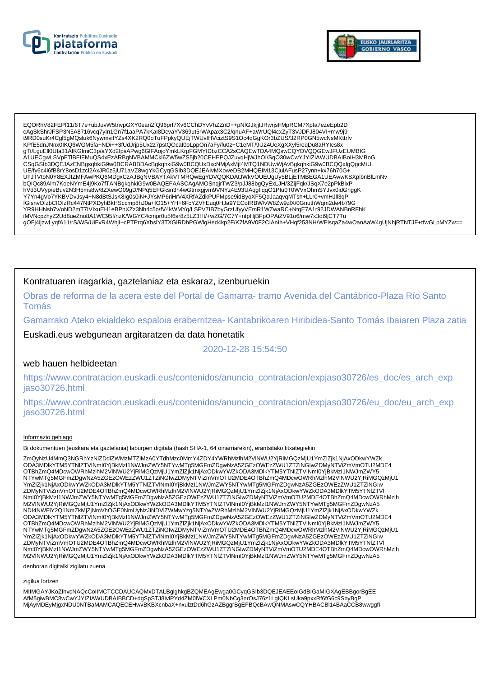



EQORhV82FEPf11/6T7e+ubJuvW5tnvpGXY0eari2fQ96prf7Xv6CChDYvVhZZnD++pNfGJkjjtJRwrjsFMpRCM7Xpla7ezeEpb2D cAqSkShrJFSP3N5A8716vcq7yIn1Gn7f1aaPA7kKal8DcvaYV369ut5rWApax3C2/qnuAF+aWrUQI4cxZyT3VJDFJ804VI+mw9i9 t9RD0suKr4Cgl5gMQsluk6NywmviIYZs4XK2RQ0oTuFPpkyQUEjTWUvIHVciztS9S1Oc4qGgKOr3bZUS/32RP0GN5wcNsMKttrfv KPfE5dnJNnx0IKQ6WGM5fa+NDi++3fUdJrjp5Ux2z7pstQOcaf0oLppOn7aFy/fu0z+C1eMT/9U24UeXgXXyl5reqDu8aRYIcs8x gTt/LguEll0Ula31AIKGfmiC3p/aYXd2lpsAPwg6GIFAojoYmkLKrpFGMYIDbzCCA2sCAQEwTDA4MQswCQYDVQQGEwJFUzEUMBIG A1UECgwLSVpFTIBFIFMuQS4xEzARBgNVBAMMCkI6ZW5wZS5jb20CEHPPQJZuyqHjWJhOI/SqO30wCwYJYIZIAWUDBAIBoIH3MBoG CSqGSlb3DQEJAzENBgsqhkiG9w0BCRABBDAcBgkqhkiG9w0BCQUxDxcNMjAxMjI4MTQ1NDUwWjAvBgkqhkiG9w0BCQQxIgQgcMtU UE/fy6c4i6fB8rY8osD1zcl2AxJR0z5jU71aVZ8wgYkGCyqGSlb3DQEJEAIvMXoweDB2MHQEIM13CjulAFusP27ynn+kx76h70G+<br>UhJTVtoN0Y8EXJIZMFAwPKQ6MDgxCzAJBgNVBAYTAkVTMRQwEgYDVQQKDAtJWkVOUEUgUy5BLjETMBEGA1UEAwwKSXplbnBlLmNv<br>bQlQc89Alm7KoeNYmE4j bWd3UVyp/eBuv2N3H5ms8w/8ZXewO09gD/NPq5EFGksn3h4wGtmxgjvm9VNYz4E93UAqgfiqqO1Plu0T0WVxOhmSYJvx0idGhggK<br>Y7Yn4gVo7YKBVDvJsy4+N8dBtSJsK8lg0s0iN+JYsMP6riHrV4XRfAZdkPUFMpse9idByoXF5QdJaaqvqMTsh+LLr0+vmHJll3qP fGisnvOlzbCIOIzRc447NtPXDyhBkHSccmp8hJ0a+fO15+YH+6FcYZVhEuq0HJa9YECofRBW/vW8Zw9zIX/0GnuthWqm2de4b79G YR9HHNsb7v/oND2mT7IVIxuEH1eBPhXZz3Nh4c5o/fV4kWMYq/LSPV7IB7byGrzUfyyVEmR1WZwaRC+NtqE7A1r92JDWANBnRFhK iMVNcpzhyZ2Ud8ueZno8A1WC95f/nzK/WGYC4cmpr0u5f6sr8z5LZ3Ht/+wZG/7C7Y+ntpHjBFpOPAiZV91o6/mw7x3ot9jCT7Tu gOFj4ijzwLyqfA11/rS/WS/UiFvR4WhjI+cPTPrq6XbsiY3TXGIRDhPGWlgHed4kp2F/K7fA9V0F2CIAnIh+VHqf253NH/WPisqaZa4wOanAaW4gUjNhjRTNTJF+tfwGLpMYZw==

### Kontratuaren iragarkia, gaztelaniaz eta eskaraz, izenburuekin

Obras de reforma de la acera este del Portal de Gamarra-tramo Avenida del Cantábrico-Plaza Río Santo **Tomás** 

Gamarrako Ateko ekialdeko espaloia eraberritzea- Kantabrikoaren Hiribidea-Santo Tomás Ibaiaren Plaza zatia

Euskadi.eus webgunean argitaratzen da data honetatik

2020-12-28 15:54:50

### web hauen helbideetan

https://www.contratacion.euskadi.eus/contenidos/anuncio\_contratacion/expjaso30726/es\_doc/es\_arch\_exp iaso30726.html

https://www.contratacion.euskadi.eus/contenidos/anuncio contratacion/expjaso30726/eu doc/eu arch exp jaso30726.html

#### Informazio gehiago

Bi dokumentuen (euskara eta gaztelania) laburpen digitala (hash SHA-1, 64 oinarriarekin), erantsitako fitxategiekin

ZmQyNzU4MmQ3NGRhYzNiZDdiZWMzMTZiMzA0YTdhMzc0MmY4ZDY4YWRhMzlhM2VINWU2YjRiMGQzMjU1YmZlZjk1NjAxODkwYWZk ODA3MDlkYTM5YTNIZTVINmI0YjBkMzI1NWJmZWY5NTYwMTg5MGFmZDgwNzA5ZGEzOWEzZWU1ZTZiNGIwZDMyNTVIZmVmOTU2MDE4 OTBhZmQ4MDcwOWRhMzlhM2VINWU2YjRiMGQzMjU1YmZlZjk1NjAxODkwYWZkODA3MDlkYTM5YTNIZTVlNml0YjBkMzl1NWJmZWY5 NTYwMTg5MGFmZDgwNzA5ZGEzOWEzZWU1ZTZiNGIwZDMyNTViZmVmOTU2MDE4OTBhZmQ4MDcwOWRhMzIhM2VINWU2YjRiMGQzMjU1 YmZlZjk1NjAxODkwYWZkODA3MDlkYTM5YTNlZTVlNml0YjBkMzl1NWJmZWY5NTYwMTg5MGFmZDgwNzA5ZGEzOWEzZWU1ZTZiNGlw ZDMyNTViZmVmOTU2MDE4OTBhZmQ4MDcwOWRhMzlhM2VINWU2YjRiMGQzMjU1YmZlZjk1NjAxODkwYWZkODA3MDlkYTM5YTNIZTVI NmI0YjBkMzI1NWJmZWY5NTYwMTg5MGFmZDgwNzA5ZGEzOWEzZWU1ZTZiNGIwZDMyNTViZmVmOTU2MDE4OTBhZmQ4MDcwOWRhMzIh<br>M2VINWU2YjRiMGQzMjU1YmZIZjk1NjAxODkwYWZkODA3MDIkYTM5YTNIZTVINmI0YjBkMzI1NWJmZWY5NTYwMTg5MGFmZDgwNzA5 NDI4NWFIY2Q1NmZkMjZjNmVhOGE0NmUyNzJiNDVIZWMwYzg5NTYwZWRhMzIhM2VINWU2YjRiMGQzMjU1YmZIZjk1NjAxODkwYWZk ODA3MDlkYTM5YTNIZTVINmI0YjBkMzI1NWJmZWY5NTYwMTg5MGFmZDgwNzA5ZGEzOWEzZWU1ZTZiNGIwZDMyNTViZmVmOTU2MDE4 OTBhZmQ4MDcwOWRhMzlhM2VINWU2YjRiMGQzMjU1YmZlZjK1NjAxODkwYWZkODA3MDlkYTM5YTNIZTVlNml0YjBkMzl1NWJmZWY5 NTYwMTg5MGFmZDgwNzA5ZGEzOWEzZWU1ZTZiNGIwZDMyNTViZmVmOTU2MDE4OTBhZmQ4MDcwOWRhMzIhM2VINWU2YjRiMGQzMjU1 YmZlZjk1NjAxODkwYWZkODA3MDlkYTM5YTNlZTVlNml0YjBkMzl1NWJmZWY5NTYwMTg5MGFmZDgwNzA5ZGEzOWEzZWU1ZTZiNGlw ZDMyNTViZmVmOTU2MDE4OTBhZmQ4MDcwOWRhMzlhM2VINWU2YjRiMGQzMjU1YmŽIZjk1NjAxODkwYWZkODA3MDlkYTM5YTNIZTVI Nml0YjBkMzI1NWJmZWY5NTYwMTg5MGFmZDgwNzA5ZGEzOWEzZWU1ZTZiNGIwZDMyNTViZmVmOTU2MDE4OTBhZmQ4MDcwOWRhMzlh M2VINWU2YjRiMGQzMjU1YmZIZjk1NjAxODkwYWZkODA3MDlkYTM5YTNIZTVlNml0YjBkMzI1NWJmZWY5NTYwMTg5MGFmZDgwNzA5

denboran digitalki zigilatu zuena

zigilua lortzen

MIIMGAYJKoZIhvcNAQcCoIIMCTCCDAUCAQMxDTALBqlqhkqBZQMEAqEwqa0GCyqGSIb3DQEJEAEEoIGdBIGaMIGXAqEBBqorBqEE AfM5giwBMC8wCwYJYIZIAWUDBAIBBCD+dgSpSTJ8IviPYd4ZM0IWCXLPm0NbCg3nrOsJ76z1LgIQKLsUka9pxxRf6fG6c9SbyBqF MjAyMDEyMjgxNDU0NTBaMAMCAQECEHwyBKBXcnbaX+nxulztDd6hGzAZBggrBgEFBQcBAwQNMAswCQYHBACBI14BAaCCB8wwggfl